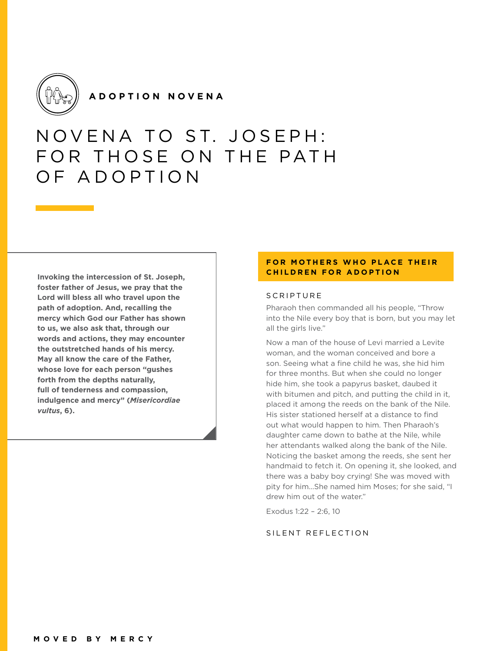

**ADOPTION NOVENA**

# NOVENA TO ST. JOSEPH: FOR THOSE ON THE PATH OF ADOPTION

**Invoking the intercession of St. Joseph, foster father of Jesus, we pray that the Lord will bless all who travel upon the path of adoption. And, recalling the mercy which God our Father has shown to us, we also ask that, through our words and actions, they may encounter the outstretched hands of his mercy. May all know the care of the Father, whose love for each person "gushes forth from the depths naturally, full of tenderness and compassion, indulgence and mercy" (***Misericordiae vultus***, 6).**

# **FOR MOTHERS WHO PLACE THEIR CHILDREN FOR ADOPTION**

## SCRIPTURE

Pharaoh then commanded all his people, "Throw into the Nile every boy that is born, but you may let all the girls live."

Now a man of the house of Levi married a Levite woman, and the woman conceived and bore a son. Seeing what a fine child he was, she hid him for three months. But when she could no longer hide him, she took a papyrus basket, daubed it with bitumen and pitch, and putting the child in it, placed it among the reeds on the bank of the Nile. His sister stationed herself at a distance to find out what would happen to him. Then Pharaoh's daughter came down to bathe at the Nile, while her attendants walked along the bank of the Nile. Noticing the basket among the reeds, she sent her handmaid to fetch it. On opening it, she looked, and there was a baby boy crying! She was moved with pity for him…She named him Moses; for she said, "I drew him out of the water."

Exodus 1:22 – 2:6, 10

## SILENT REFLECTION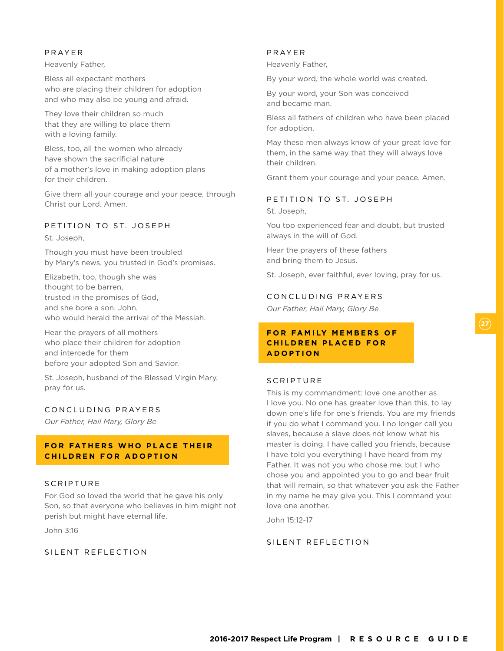#### PRAYER

Heavenly Father,

Bless all expectant mothers who are placing their children for adoption and who may also be young and afraid.

They love their children so much that they are willing to place them with a loving family.

Bless, too, all the women who already have shown the sacrificial nature of a mother's love in making adoption plans for their children.

Give them all your courage and your peace, through Christ our Lord. Amen.

# PETITION TO ST. JOSEPH

St. Joseph,

Though you must have been troubled by Mary's news, you trusted in God's promises.

Elizabeth, too, though she was thought to be barren, trusted in the promises of God, and she bore a son, John, who would herald the arrival of the Messiah.

Hear the prayers of all mothers who place their children for adoption and intercede for them before your adopted Son and Savior.

St. Joseph, husband of the Blessed Virgin Mary, pray for us.

#### CONCLUDING PRAYERS

*Our Father, Hail Mary, Glory Be* 

# **FOR FATHERS WHO PLACE THEIR CHILDREN FOR ADOPTION**

## SCRIPTURE

For God so loved the world that he gave his only Son, so that everyone who believes in him might not perish but might have eternal life.

John 3:16

SILENT REFLECTION

#### PRAYER

Heavenly Father,

By your word, the whole world was created.

By your word, your Son was conceived and became man.

Bless all fathers of children who have been placed for adoption.

May these men always know of your great love for them, in the same way that they will always love their children.

Grant them your courage and your peace. Amen.

# PETITION TO ST. JOSEPH

St. Joseph,

You too experienced fear and doubt, but trusted always in the will of God.

Hear the prayers of these fathers and bring them to Jesus.

St. Joseph, ever faithful, ever loving, pray for us.

#### CONCLUDING PRAYERS

*Our Father, Hail Mary, Glory Be*

# **FOR FAMILY MEMBERS OF CHILDREN PLACED FOR ADOPTION**

# **SCRIPTURE**

This is my commandment: love one another as I love you. No one has greater love than this, to lay down one's life for one's friends. You are my friends if you do what I command you. I no longer call you slaves, because a slave does not know what his master is doing. I have called you friends, because I have told you everything I have heard from my Father. It was not you who chose me, but I who chose you and appointed you to go and bear fruit that will remain, so that whatever you ask the Father in my name he may give you. This I command you: love one another.

John 15:12-17

# SILENT REFLECTION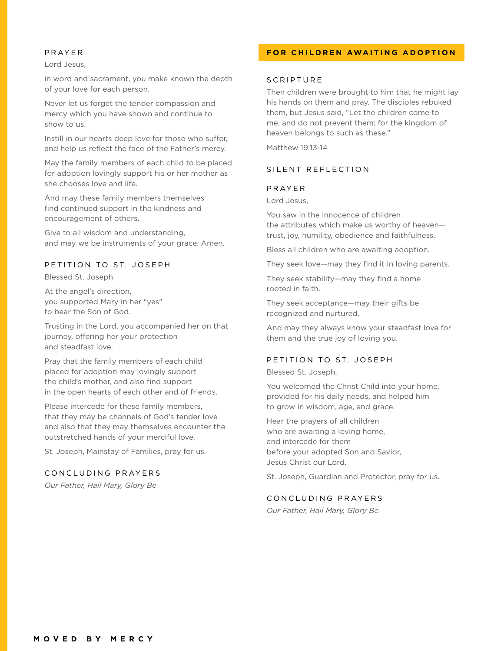#### PRAYER

Lord Jesus,

in word and sacrament, you make known the depth of your love for each person.

Never let us forget the tender compassion and mercy which you have shown and continue to show to us.

Instill in our hearts deep love for those who suffer, and help us reflect the face of the Father's mercy.

May the family members of each child to be placed for adoption lovingly support his or her mother as she chooses love and life.

And may these family members themselves find continued support in the kindness and encouragement of others.

Give to all wisdom and understanding, and may we be instruments of your grace. Amen.

# PETITION TO ST. JOSEPH

Blessed St. Joseph,

At the angel's direction, you supported Mary in her "yes" to bear the Son of God.

Trusting in the Lord, you accompanied her on that journey, offering her your protection and steadfast love.

Pray that the family members of each child placed for adoption may lovingly support the child's mother, and also find support in the open hearts of each other and of friends.

Please intercede for these family members, that they may be channels of God's tender love and also that they may themselves encounter the outstretched hands of your merciful love.

St. Joseph, Mainstay of Families, pray for us.

#### CONCLUDING PRAYERS

*Our Father, Hail Mary, Glory Be*

## **FOR CHILDREN AWAITING ADOPTION**

#### **SCRIPTURE**

Then children were brought to him that he might lay his hands on them and pray. The disciples rebuked them, but Jesus said, "Let the children come to me, and do not prevent them; for the kingdom of heaven belongs to such as these."

Matthew 19:13-14

#### SILENT REFLECTION

#### PRAYER

Lord Jesus,

You saw in the innocence of children the attributes which make us worthy of heaven trust, joy, humility, obedience and faithfulness.

Bless all children who are awaiting adoption.

They seek love—may they find it in loving parents.

They seek stability—may they find a home rooted in faith.

They seek acceptance—may their gifts be recognized and nurtured.

And may they always know your steadfast love for them and the true joy of loving you.

## PETITION TO ST. JOSEPH

Blessed St. Joseph,

You welcomed the Christ Child into your home, provided for his daily needs, and helped him to grow in wisdom, age, and grace.

Hear the prayers of all children who are awaiting a loving home, and intercede for them before your adopted Son and Savior, Jesus Christ our Lord.

St. Joseph, Guardian and Protector, pray for us.

# CONCLUDING PRAYERS

*Our Father, Hail Mary, Glory Be*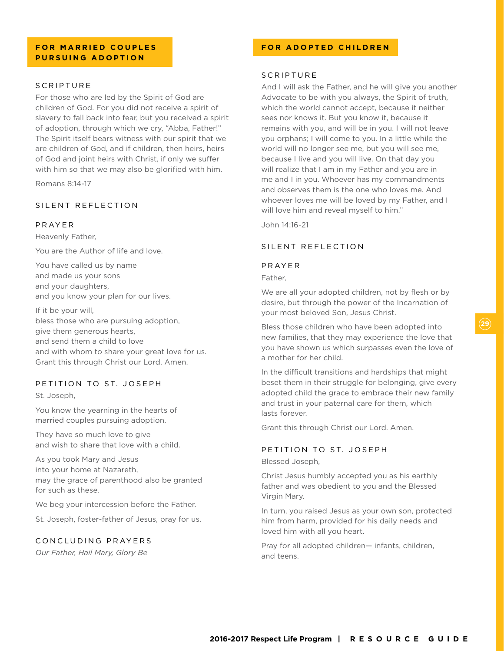# **FOR MARRIED COUPLES PURSUING ADOPTION**

## **SCRIPTURE**

For those who are led by the Spirit of God are children of God. For you did not receive a spirit of slavery to fall back into fear, but you received a spirit of adoption, through which we cry, "Abba, Father!" The Spirit itself bears witness with our spirit that we are children of God, and if children, then heirs, heirs of God and joint heirs with Christ, if only we suffer with him so that we may also be glorified with him.

Romans 8:14-17

# SILENT REFLECTION

#### PRAYER

Heavenly Father,

You are the Author of life and love.

You have called us by name and made us your sons and your daughters, and you know your plan for our lives.

If it be your will, bless those who are pursuing adoption, give them generous hearts, and send them a child to love and with whom to share your great love for us. Grant this through Christ our Lord. Amen.

## PETITION TO ST. JOSEPH

St. Joseph,

You know the yearning in the hearts of married couples pursuing adoption.

They have so much love to give and wish to share that love with a child.

As you took Mary and Jesus into your home at Nazareth, may the grace of parenthood also be granted for such as these.

We beg your intercession before the Father.

St. Joseph, foster-father of Jesus, pray for us.

#### CONCLUDING PRAYERS

*Our Father, Hail Mary, Glory Be*

## **FOR ADOPTED CHILDREN**

# **SCRIPTURF**

And I will ask the Father, and he will give you another Advocate to be with you always, the Spirit of truth, which the world cannot accept, because it neither sees nor knows it. But you know it, because it remains with you, and will be in you. I will not leave you orphans; I will come to you. In a little while the world will no longer see me, but you will see me, because I live and you will live. On that day you will realize that I am in my Father and you are in me and I in you. Whoever has my commandments and observes them is the one who loves me. And whoever loves me will be loved by my Father, and I will love him and reveal myself to him."

John 14:16-21

# SILENT REFLECTION

#### PRAYER

Father,

We are all your adopted children, not by flesh or by desire, but through the power of the Incarnation of your most beloved Son, Jesus Christ.

Bless those children who have been adopted into new families, that they may experience the love that you have shown us which surpasses even the love of a mother for her child.

In the difficult transitions and hardships that might beset them in their struggle for belonging, give every adopted child the grace to embrace their new family and trust in your paternal care for them, which lasts forever.

Grant this through Christ our Lord. Amen.

## PETITION TO ST. JOSEPH

Blessed Joseph,

Christ Jesus humbly accepted you as his earthly father and was obedient to you and the Blessed Virgin Mary.

In turn, you raised Jesus as your own son, protected him from harm, provided for his daily needs and loved him with all you heart.

Pray for all adopted children— infants, children, and teens.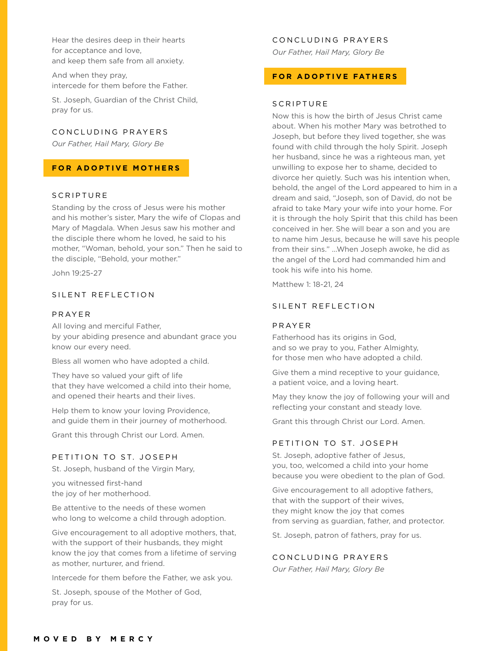Hear the desires deep in their hearts for acceptance and love, and keep them safe from all anxiety.

And when they pray, intercede for them before the Father.

St. Joseph, Guardian of the Christ Child, pray for us.

# CONCLUDING PRAYERS

*Our Father, Hail Mary, Glory Be*

# **FOR ADOPTIVE MOTHERS**

#### **SCRIPTURE**

Standing by the cross of Jesus were his mother and his mother's sister, Mary the wife of Clopas and Mary of Magdala. When Jesus saw his mother and the disciple there whom he loved, he said to his mother, "Woman, behold, your son." Then he said to the disciple, "Behold, your mother."

John 19:25-27

## SILENT REFLECTION

#### PRAYER

All loving and merciful Father, by your abiding presence and abundant grace you know our every need.

Bless all women who have adopted a child.

They have so valued your gift of life that they have welcomed a child into their home, and opened their hearts and their lives.

Help them to know your loving Providence, and guide them in their journey of motherhood.

Grant this through Christ our Lord. Amen.

#### PETITION TO ST. JOSEPH

St. Joseph, husband of the Virgin Mary,

you witnessed first-hand the joy of her motherhood.

Be attentive to the needs of these women who long to welcome a child through adoption.

Give encouragement to all adoptive mothers, that, with the support of their husbands, they might know the joy that comes from a lifetime of serving as mother, nurturer, and friend.

Intercede for them before the Father, we ask you.

St. Joseph, spouse of the Mother of God, pray for us.

#### CONCLUDING PRAYERS

*Our Father, Hail Mary, Glory Be*

#### **FOR ADOPTIVE FATHERS**

#### SCRIPTURE

Now this is how the birth of Jesus Christ came about. When his mother Mary was betrothed to Joseph, but before they lived together, she was found with child through the holy Spirit. Joseph her husband, since he was a righteous man, yet unwilling to expose her to shame, decided to divorce her quietly. Such was his intention when, behold, the angel of the Lord appeared to him in a dream and said, "Joseph, son of David, do not be afraid to take Mary your wife into your home. For it is through the holy Spirit that this child has been conceived in her. She will bear a son and you are to name him Jesus, because he will save his people from their sins." ...When Joseph awoke, he did as the angel of the Lord had commanded him and took his wife into his home.

Matthew 1: 18-21, 24

#### SILENT REFLECTION

#### PRAYER

Fatherhood has its origins in God, and so we pray to you, Father Almighty, for those men who have adopted a child.

Give them a mind receptive to your guidance, a patient voice, and a loving heart.

May they know the joy of following your will and reflecting your constant and steady love.

Grant this through Christ our Lord. Amen.

## PETITION TO ST. JOSEPH

St. Joseph, adoptive father of Jesus, you, too, welcomed a child into your home because you were obedient to the plan of God.

Give encouragement to all adoptive fathers, that with the support of their wives, they might know the joy that comes from serving as guardian, father, and protector.

St. Joseph, patron of fathers, pray for us.

## CONCLUDING PRAYERS

*Our Father, Hail Mary, Glory Be*